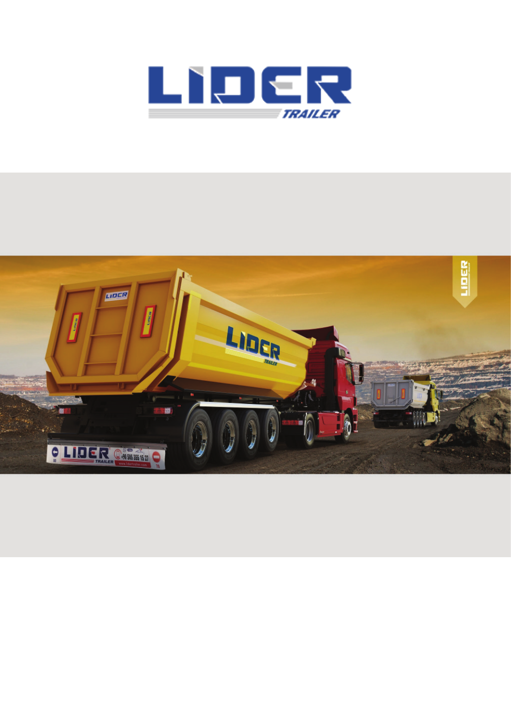